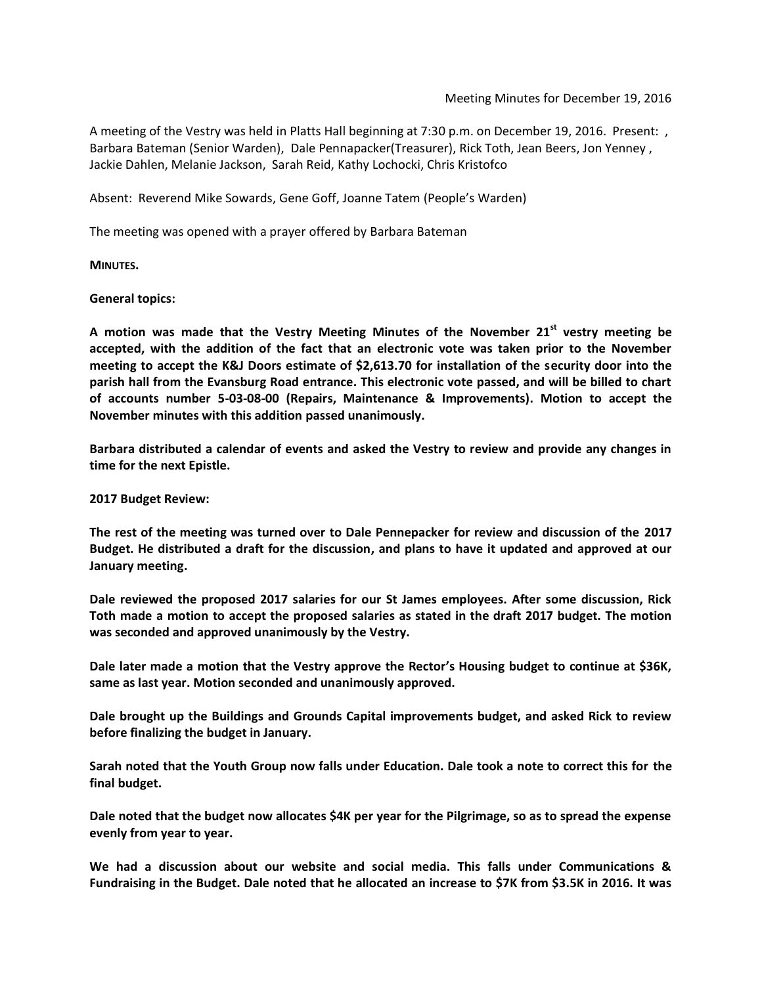A meeting of the Vestry was held in Platts Hall beginning at 7:30 p.m. on December 19, 2016. Present: , Barbara Bateman (Senior Warden), Dale Pennapacker(Treasurer), Rick Toth, Jean Beers, Jon Yenney , Jackie Dahlen, Melanie Jackson, Sarah Reid, Kathy Lochocki, Chris Kristofco

Absent: Reverend Mike Sowards, Gene Goff, Joanne Tatem (People's Warden)

The meeting was opened with a prayer offered by Barbara Bateman

**MINUTES.**

**General topics:**

**A motion was made that the Vestry Meeting Minutes of the November 21st vestry meeting be accepted, with the addition of the fact that an electronic vote was taken prior to the November meeting to accept the K&J Doors estimate of \$2,613.70 for installation of the security door into the parish hall from the Evansburg Road entrance. This electronic vote passed, and will be billed to chart of accounts number 5-03-08-00 (Repairs, Maintenance & Improvements). Motion to accept the November minutes with this addition passed unanimously.**

**Barbara distributed a calendar of events and asked the Vestry to review and provide any changes in time for the next Epistle.**

**2017 Budget Review:**

**The rest of the meeting was turned over to Dale Pennepacker for review and discussion of the 2017 Budget. He distributed a draft for the discussion, and plans to have it updated and approved at our January meeting.**

**Dale reviewed the proposed 2017 salaries for our St James employees. After some discussion, Rick Toth made a motion to accept the proposed salaries as stated in the draft 2017 budget. The motion was seconded and approved unanimously by the Vestry.**

**Dale later made a motion that the Vestry approve the Rector's Housing budget to continue at \$36K, same as last year. Motion seconded and unanimously approved.**

**Dale brought up the Buildings and Grounds Capital improvements budget, and asked Rick to review before finalizing the budget in January.**

**Sarah noted that the Youth Group now falls under Education. Dale took a note to correct this for the final budget.**

**Dale noted that the budget now allocates \$4K per year for the Pilgrimage, so as to spread the expense evenly from year to year.**

**We had a discussion about our website and social media. This falls under Communications & Fundraising in the Budget. Dale noted that he allocated an increase to \$7K from \$3.5K in 2016. It was**